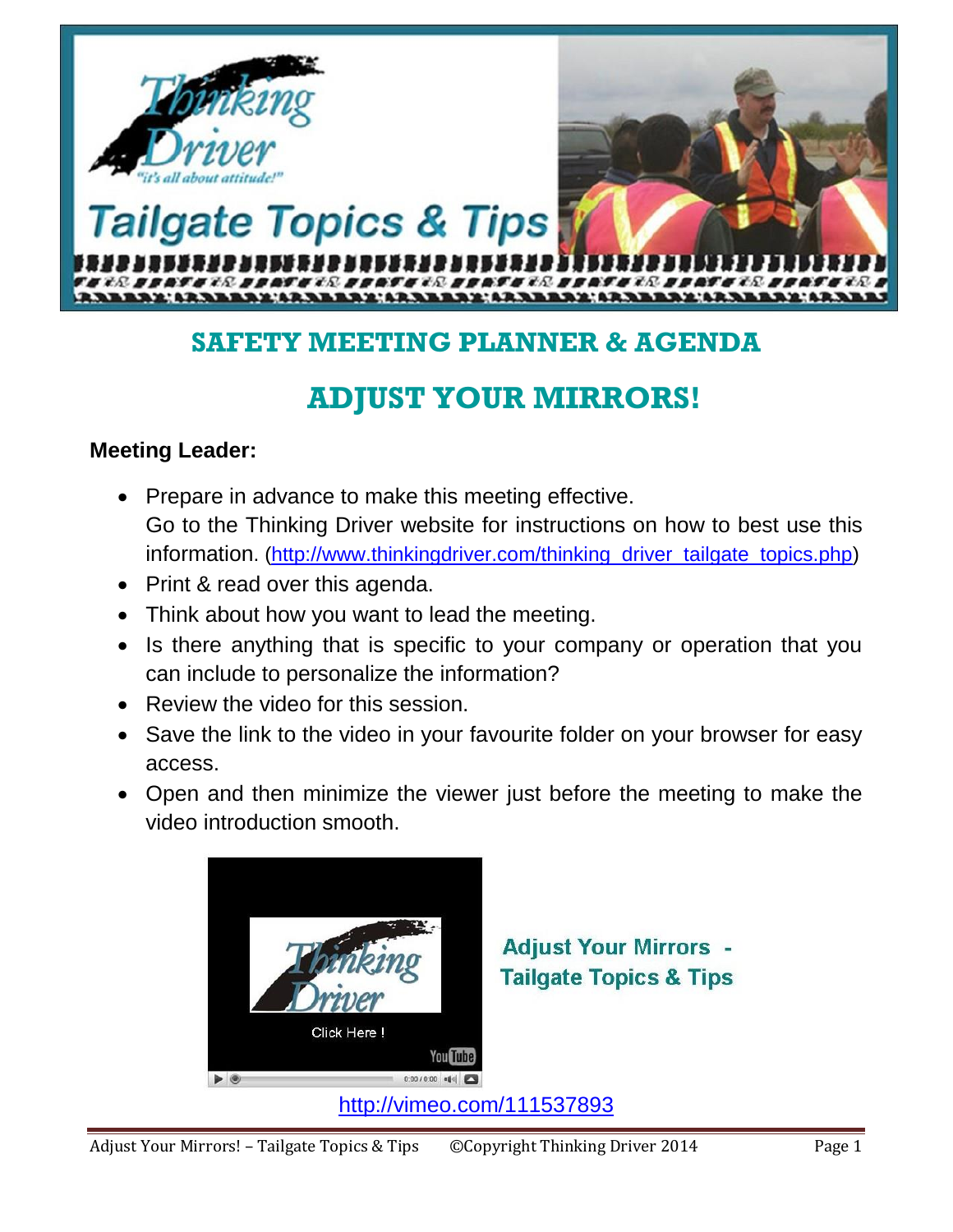

## **SAFETY MEETING PLANNER & AGENDA**

# **ADJUST YOUR MIRRORS!**

## **Meeting Leader:**

- Prepare in advance to make this meeting effective. Go to the Thinking Driver website for instructions on how to best use this information. [\(http://www.thinkingdriver.com/thinking\\_driver\\_tailgate\\_topics.php\)](http://www.thinkingdriver.com/thinking_driver_tailgate_topics.php)
- Print & read over this agenda.
- Think about how you want to lead the meeting.
- Is there anything that is specific to your company or operation that you can include to personalize the information?
- Review the video for this session.
- Save the link to the video in your favourite folder on your browser for easy access.
- Open and then minimize the viewer just before the meeting to make the video introduction smooth.



**Adjust Your Mirrors -Tailgate Topics & Tips** 

<http://vimeo.com/111537893>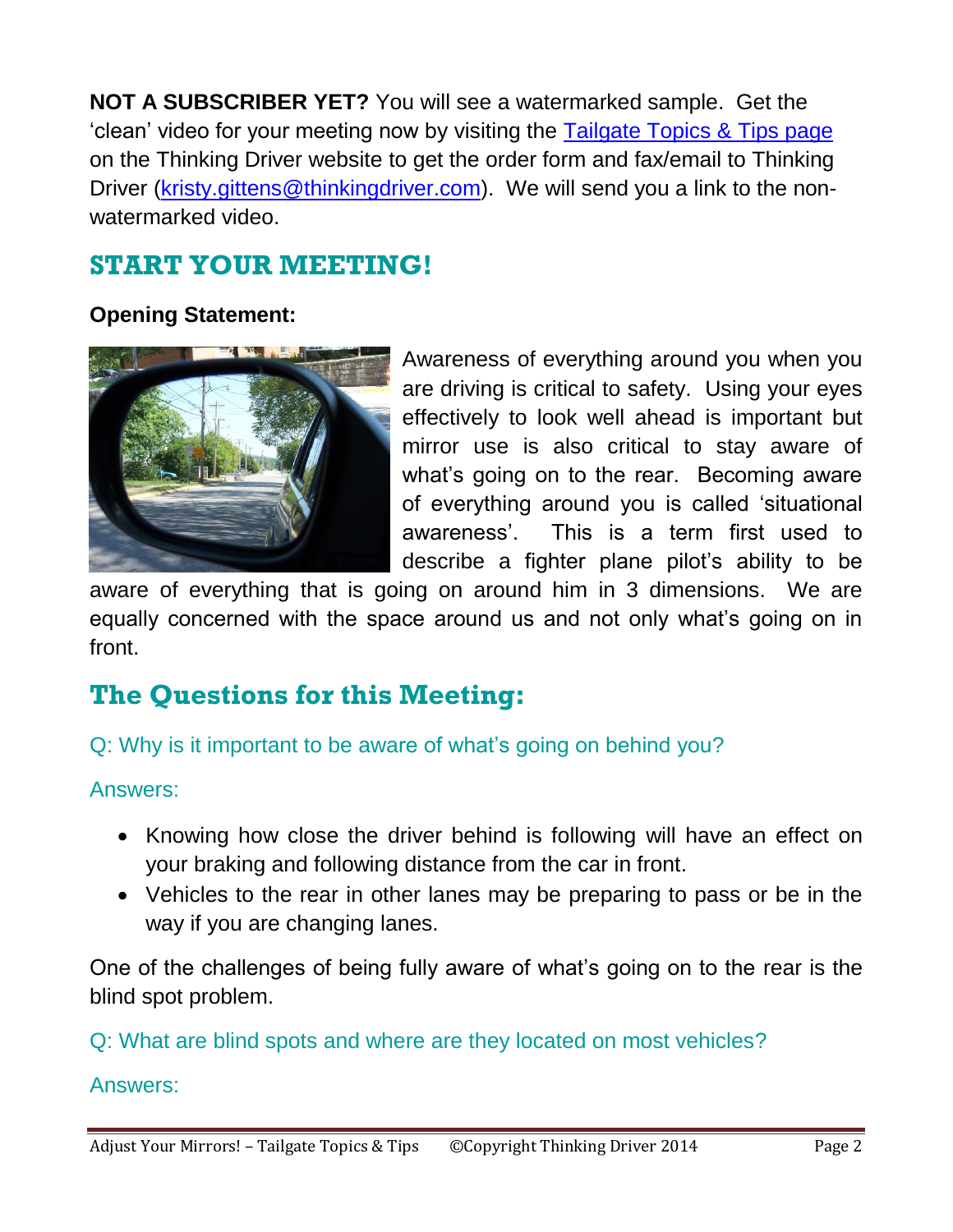**NOT A SUBSCRIBER YET?** You will see a watermarked sample. Get the 'clean' video for your meeting now by visiting the [Tailgate Topics & Tips page](http://www.thinkingdriver.com/thinking_driver_tailgate_topics.php) on the Thinking Driver website to get the order form and fax/email to Thinking Driver [\(kristy.gittens@thinkingdriver.com\)](mailto:kristy.gittens@thinkingdriver.com). We will send you a link to the nonwatermarked video.

# **START YOUR MEETING!**

## **Opening Statement:**



Awareness of everything around you when you are driving is critical to safety. Using your eyes effectively to look well ahead is important but mirror use is also critical to stay aware of what's going on to the rear. Becoming aware of everything around you is called 'situational awareness'. This is a term first used to describe a fighter plane pilot's ability to be

aware of everything that is going on around him in 3 dimensions. We are equally concerned with the space around us and not only what's going on in front.

# **The Questions for this Meeting:**

## Q: Why is it important to be aware of what's going on behind you?

### Answers:

- Knowing how close the driver behind is following will have an effect on your braking and following distance from the car in front.
- Vehicles to the rear in other lanes may be preparing to pass or be in the way if you are changing lanes.

One of the challenges of being fully aware of what's going on to the rear is the blind spot problem.

## Q: What are blind spots and where are they located on most vehicles?

### Answers: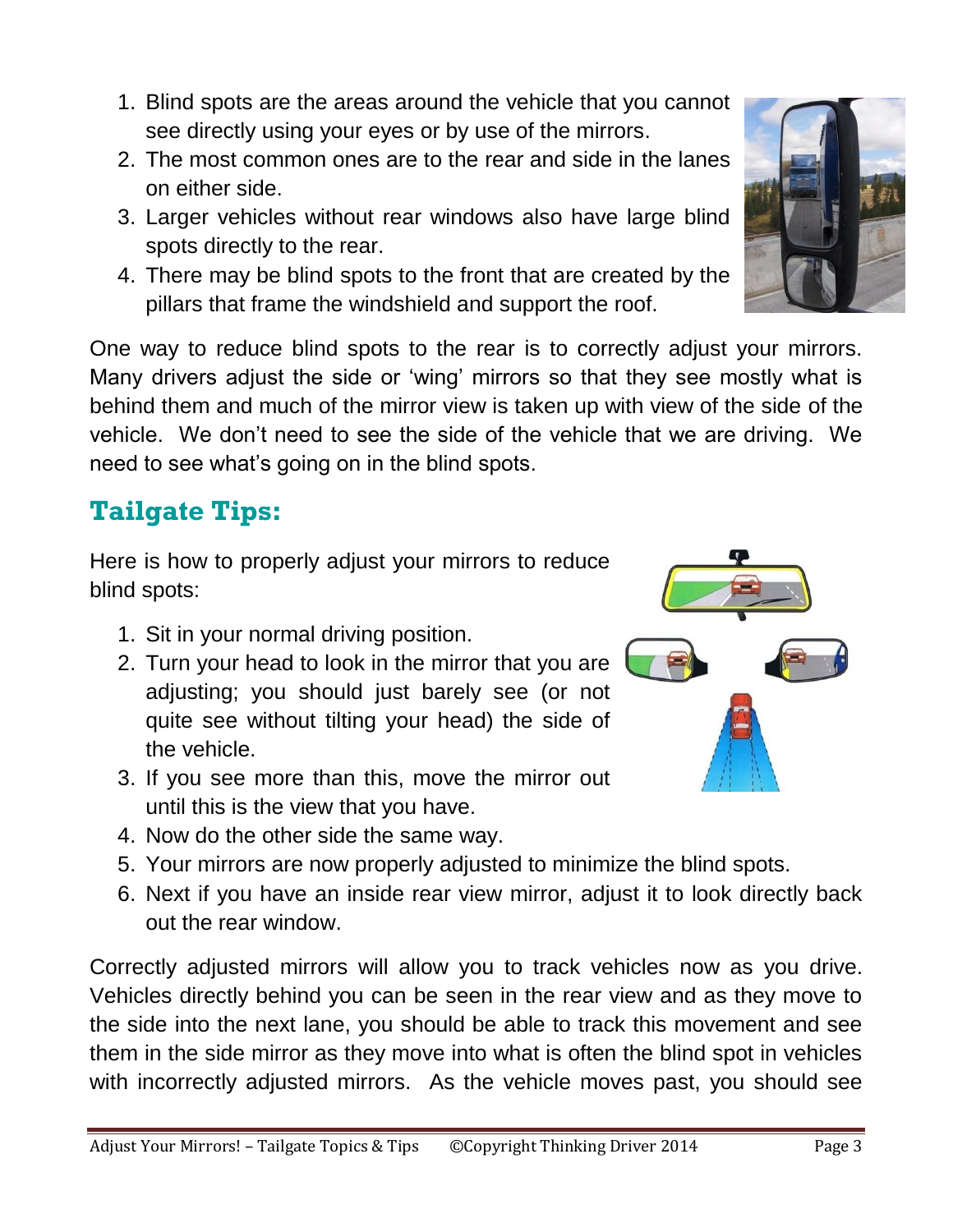- 1. Blind spots are the areas around the vehicle that you cannot see directly using your eyes or by use of the mirrors.
- 2. The most common ones are to the rear and side in the lanes on either side.
- 3. Larger vehicles without rear windows also have large blind spots directly to the rear.
- 4. There may be blind spots to the front that are created by the pillars that frame the windshield and support the roof.

One way to reduce blind spots to the rear is to correctly adjust your mirrors. Many drivers adjust the side or 'wing' mirrors so that they see mostly what is behind them and much of the mirror view is taken up with view of the side of the vehicle. We don't need to see the side of the vehicle that we are driving. We need to see what's going on in the blind spots.

# **Tailgate Tips:**

Here is how to properly adjust your mirrors to reduce blind spots:

- 1. Sit in your normal driving position.
- 2. Turn your head to look in the mirror that you are adjusting; you should just barely see (or not quite see without tilting your head) the side of the vehicle.
- 3. If you see more than this, move the mirror out until this is the view that you have.
- 4. Now do the other side the same way.
- 5. Your mirrors are now properly adjusted to minimize the blind spots.
- 6. Next if you have an inside rear view mirror, adjust it to look directly back out the rear window.

Correctly adjusted mirrors will allow you to track vehicles now as you drive. Vehicles directly behind you can be seen in the rear view and as they move to the side into the next lane, you should be able to track this movement and see them in the side mirror as they move into what is often the blind spot in vehicles with incorrectly adjusted mirrors. As the vehicle moves past, you should see